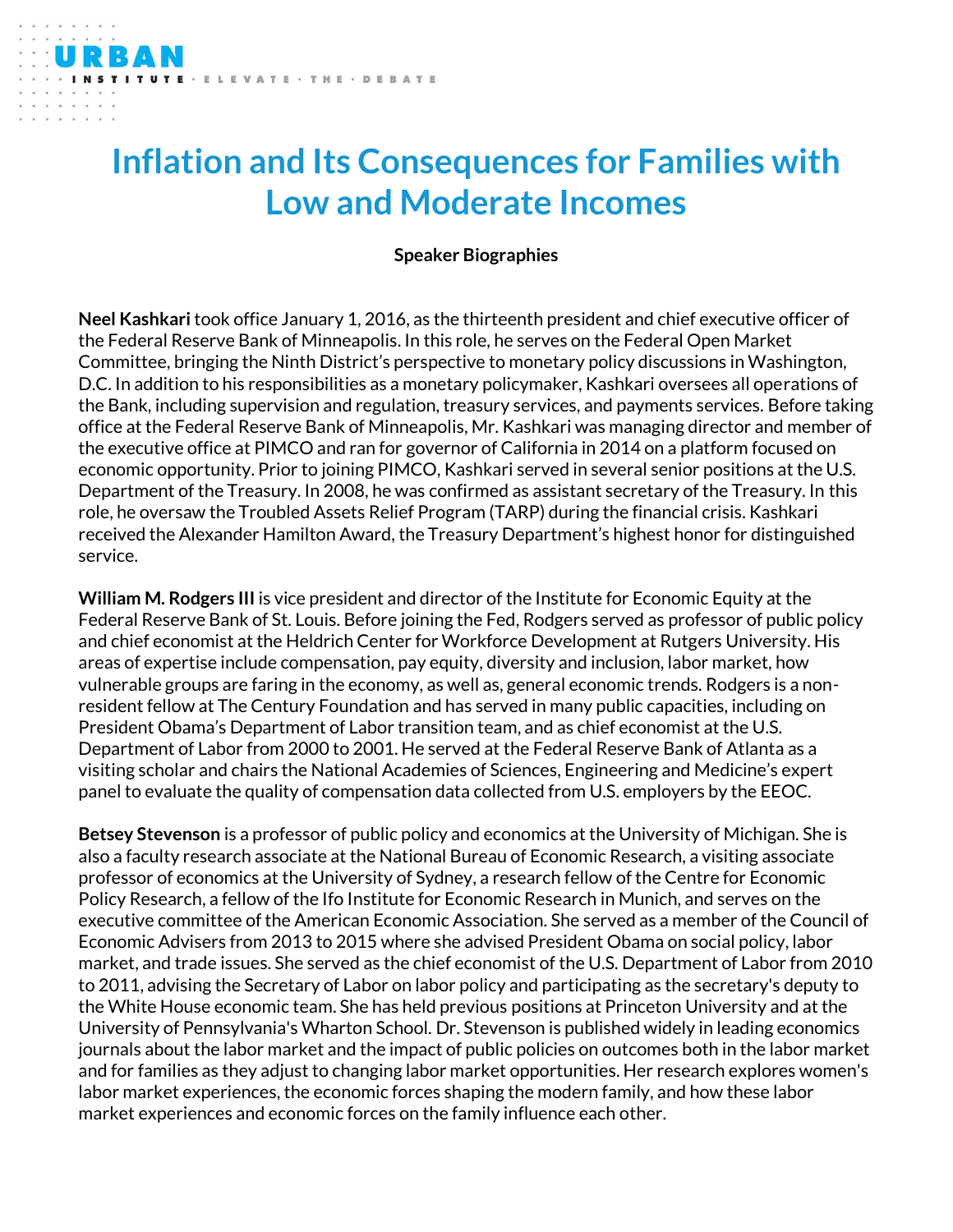## **Inflation and Its Consequences for Families with Low and Moderate Incomes**

VATE · THE · DEBATE

## **Speaker Biographies**

**Neel Kashkari** took office January 1, 2016, as the thirteenth president and chief executive officer of the Federal Reserve Bank of Minneapolis. In this role, he serves on the Federal Open Market Committee, bringing the Ninth District's perspective to monetary policy discussions in Washington, D.C. In addition to his responsibilities as a monetary policymaker, Kashkari oversees all operations of the Bank, including supervision and regulation, treasury services, and payments services. Before taking office at the Federal Reserve Bank of Minneapolis, Mr. Kashkari was managing director and member of the executive office at PIMCO and ran for governor of California in 2014 on a platform focused on economic opportunity. Prior to joining PIMCO, Kashkari served in several senior positions at the U.S. Department of the Treasury. In 2008, he was confirmed as assistant secretary of the Treasury. In this role, he oversaw the Troubled Assets Relief Program (TARP) during the financial crisis. Kashkari received the Alexander Hamilton Award, the Treasury Department's highest honor for distinguished service.

**William M. Rodgers III** is vice president and director of the Institute for Economic Equity at the Federal Reserve Bank of St. Louis. Before joining the Fed, Rodgers served as professor of public policy and chief economist at the Heldrich Center for Workforce Development at Rutgers University. His areas of expertise include compensation, pay equity, diversity and inclusion, labor market, how vulnerable groups are faring in the economy, as well as, general economic trends. Rodgers is a nonresident fellow at The Century Foundation and has served in many public capacities, including on President Obama's Department of Labor transition team, and as chief economist at the U.S. Department of Labor from 2000 to 2001. He served at the Federal Reserve Bank of Atlanta as a visiting scholar and chairs the National Academies of Sciences, Engineering and Medicine's expert panel to evaluate the quality of compensation data collected from U.S. employers by the EEOC.

**Betsey Stevenson** is a professor of public policy and economics at the University of Michigan. She is also a faculty research associate at the National Bureau of Economic Research, a visiting associate professor of economics at the University of Sydney, a research fellow of the Centre for Economic Policy Research, a fellow of the Ifo Institute for Economic Research in Munich, and serves on the executive committee of the American Economic Association. She served as a member of the Council of Economic Advisers from 2013 to 2015 where she advised President Obama on social policy, labor market, and trade issues. She served as the chief economist of the U.S. Department of Labor from 2010 to 2011, advising the Secretary of Labor on labor policy and participating as the secretary's deputy to the White House economic team. She has held previous positions at Princeton University and at the University of Pennsylvania's Wharton School. Dr. Stevenson is published widely in leading economics journals about the labor market and the impact of public policies on outcomes both in the labor market and for families as they adjust to changing labor market opportunities. Her research explores women's labor market experiences, the economic forces shaping the modern family, and how these labor market experiences and economic forces on the family influence each other.